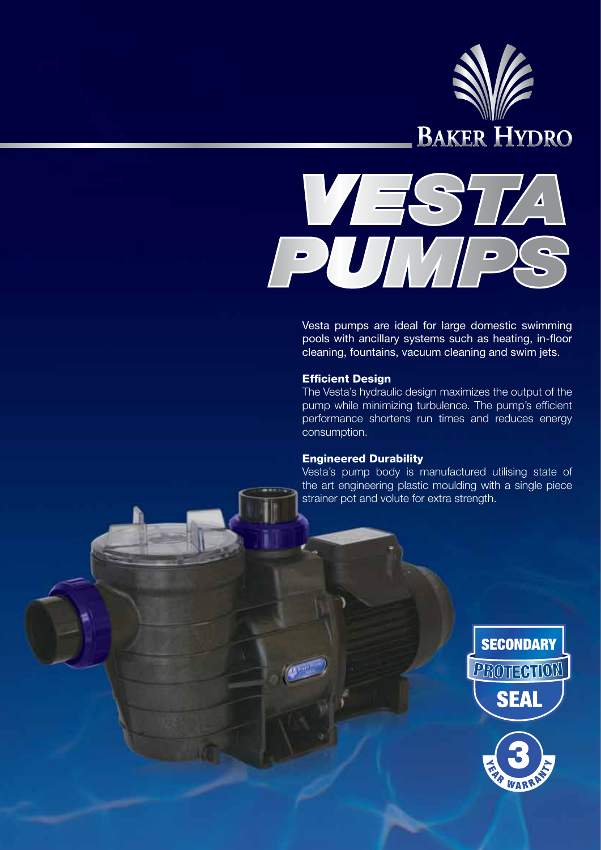



Vesta pumps are ideal for large domestic swimming pools with ancillary systems such as heating, in-floor cleaning, fountains, vacuum cleaning and swim jets.

## Efficient Design

The Vesta's hydraulic design maximizes the output of the pump while minimizing turbulence. The pump's efficient performance shortens run times and reduces energy consumption.

## Engineered Durability

Vesta's pump body is manufactured utilising state of the art engineering plastic moulding with a single piece strainer pot and volute for extra strength.